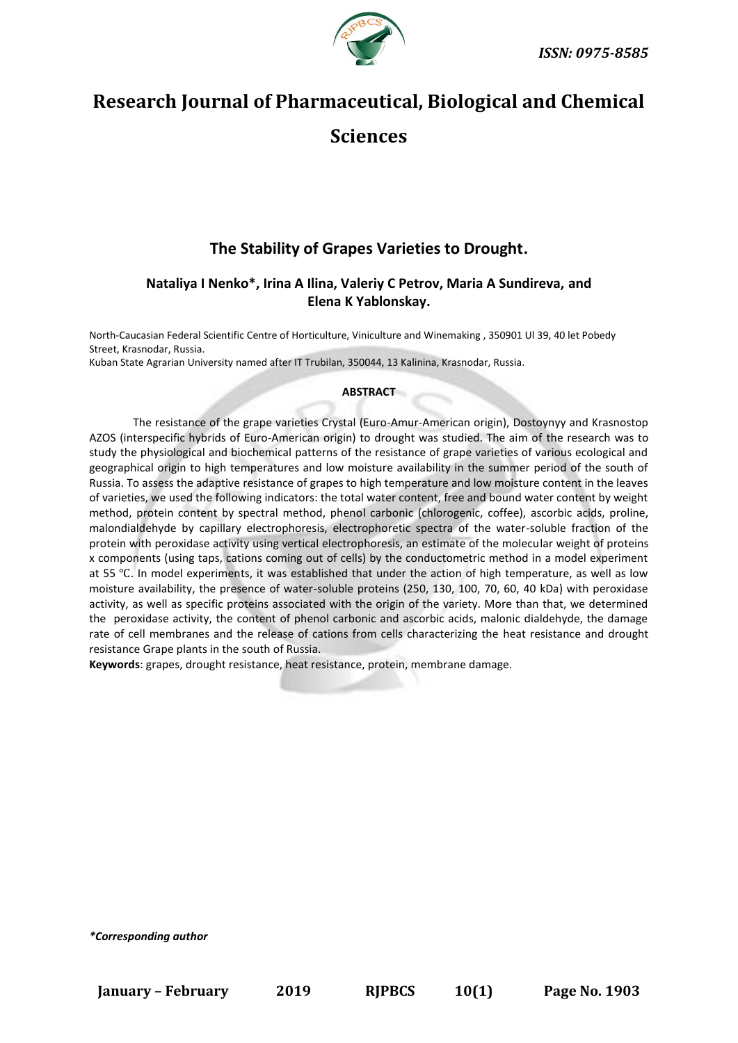

# **Research Journal of Pharmaceutical, Biological and Chemical Sciences**

# **The Stability of Grapes Varieties to Drought.**

# **Nataliya I Nenko\*, Irina A Ilina, Valeriy C Petrov, Maria A Sundireva, and Elena K Yablonskay.**

North-Caucasian Federal Scientific Centre of Horticulture, Viniculture and Winemaking , 350901 Ul 39, 40 let Pobedy Street, Krasnodar, Russia.

Kuban State Agrarian University named after IT Trubilan, 350044, 13 Kalinina, Krasnodar, Russia.

## **ABSTRACT**

The resistance of the grape varieties Crystal (Euro-Amur-American origin), Dostoynyy and Krasnostop AZOS (interspecific hybrids of Euro-American origin) to drought was studied. The aim of the research was to study the physiological and biochemical patterns of the resistance of grape varieties of various ecological and geographical origin to high temperatures and low moisture availability in the summer period of the south of Russia. To assess the adaptive resistance of grapes to high temperature and low moisture content in the leaves of varieties, we used the following indicators: the total water content, free and bound water content by weight method, protein content by spectral method, phenol carbonic (chlorogenic, coffee), ascorbic acids, proline, malondialdehyde by capillary electrophoresis, electrophoretic spectra of the water-soluble fraction of the protein with peroxidase activity using vertical electrophoresis, an estimate of the molecular weight of proteins x components (using taps, cations coming out of cells) by the conductometric method in a model experiment at 55 ℃. In model experiments, it was established that under the action of high temperature, as well as low moisture availability, the presence of water-soluble proteins (250, 130, 100, 70, 60, 40 kDa) with peroxidase activity, as well as specific proteins associated with the origin of the variety. More than that, we determined the peroxidase activity, the content of phenol carbonic and ascorbic acids, malonic dialdehyde, the damage rate of cell membranes and the release of cations from cells characterizing the heat resistance and drought resistance Grape plants in the south of Russia.

**Keywords**: grapes, drought resistance, heat resistance, protein, membrane damage.

*\*Corresponding author*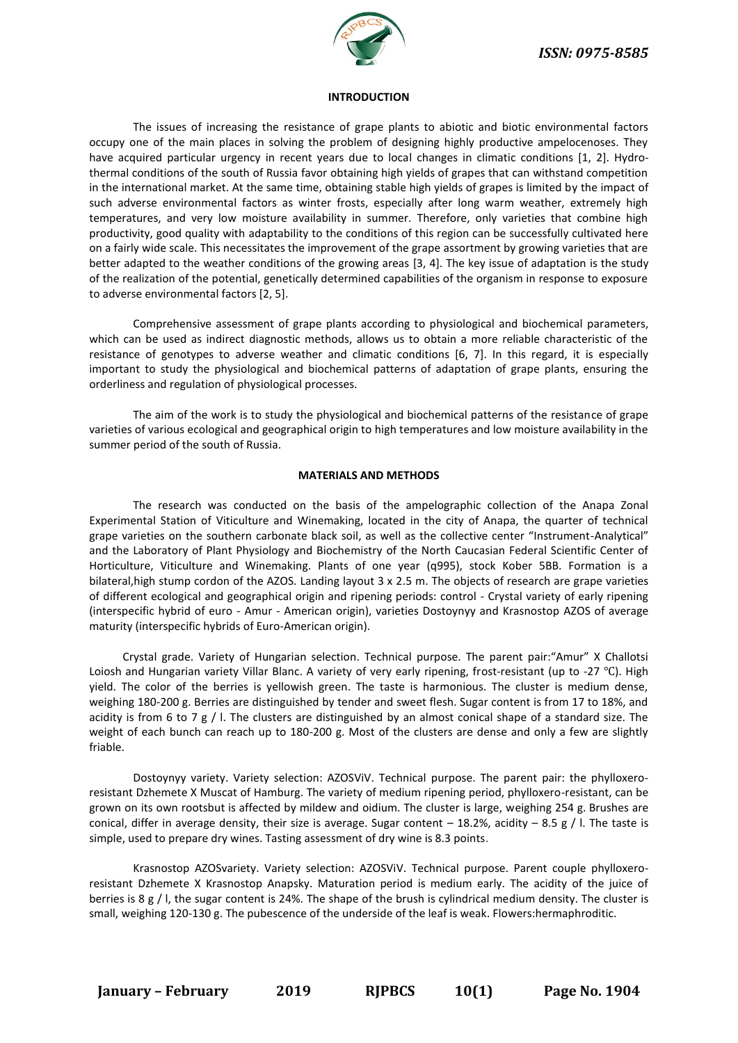

#### **INTRODUCTION**

The issues of increasing the resistance of grape plants to abiotic and biotic environmental factors occupy one of the main places in solving the problem of designing highly productive ampelocenoses. They have acquired particular urgency in recent years due to local changes in climatic conditions [1, 2]. Hydrothermal conditions of the south of Russia favor obtaining high yields of grapes that can withstand competition in the international market. At the same time, obtaining stable high yields of grapes is limited by the impact of such adverse environmental factors as winter frosts, especially after long warm weather, extremely high temperatures, and very low moisture availability in summer. Therefore, only varieties that combine high productivity, good quality with adaptability to the conditions of this region can be successfully cultivated here on a fairly wide scale. This necessitates the improvement of the grape assortment by growing varieties that are better adapted to the weather conditions of the growing areas [3, 4]. The key issue of adaptation is the study of the realization of the potential, genetically determined capabilities of the organism in response to exposure to adverse environmental factors [2, 5].

Comprehensive assessment of grape plants according to physiological and biochemical parameters, which can be used as indirect diagnostic methods, allows us to obtain a more reliable characteristic of the resistance of genotypes to adverse weather and climatic conditions [6, 7]. In this regard, it is especially important to study the physiological and biochemical patterns of adaptation of grape plants, ensuring the orderliness and regulation of physiological processes.

The aim of the work is to study the physiological and biochemical patterns of the resistance of grape varieties of various ecological and geographical origin to high temperatures and low moisture availability in the summer period of the south of Russia.

#### **MATERIALS AND METHODS**

The research was conducted on the basis of the ampelographic collection of the Anapa Zonal Experimental Station of Viticulture and Winemaking, located in the city of Anapa, the quarter of technical grape varieties on the southern carbonate black soil, as well as the collective center "Instrument-Analytical" and the Laboratory of Plant Physiology and Biochemistry of the North Caucasian Federal Scientific Center of Horticulture, Viticulture and Winemaking. Plants of one year (q995), stock Kober 5BB. Formation is a bilateral,high stump cordon of the AZOS. Landing layout 3 x 2.5 m. The objects of research are grape varieties of different ecological and geographical origin and ripening periods: control - Crystal variety of early ripening (interspecific hybrid of euro - Amur - American origin), varieties Dostoynyy and Krasnostop AZOS of average maturity (interspecific hybrids of Euro-American origin).

Crystal grade. Variety of Hungarian selection. Technical purpose. The parent pair:"Amur" X Challotsi Loiosh and Hungarian variety Villar Blanc. A variety of very early ripening, frost-resistant (up to -27 ℃). High yield. The color of the berries is yellowish green. The taste is harmonious. The cluster is medium dense, weighing 180-200 g. Berries are distinguished by tender and sweet flesh. Sugar content is from 17 to 18%, and acidity is from 6 to 7 g / I. The clusters are distinguished by an almost conical shape of a standard size. The weight of each bunch can reach up to 180-200 g. Most of the clusters are dense and only a few are slightly friable.

Dostoynyy variety. Variety selection: AZOSViV. Technical purpose. The parent pair: the phylloxeroresistant Dzhemete X Muscat of Hamburg. The variety of medium ripening period, phylloxero-resistant, can be grown on its own rootsbut is affected by mildew and oidium. The cluster is large, weighing 254 g. Brushes are conical, differ in average density, their size is average. Sugar content – 18.2%, acidity – 8.5 g / I. The taste is simple, used to prepare dry wines. Tasting assessment of dry wine is 8.3 points.

Krasnostop AZOSvariety. Variety selection: AZOSViV. Technical purpose. Parent couple phylloxeroresistant Dzhemete X Krasnostop Anapsky. Maturation period is medium early. The acidity of the juice of berries is 8 g / l, the sugar content is 24%. The shape of the brush is cylindrical medium density. The cluster is small, weighing 120-130 g. The pubescence of the underside of the leaf is weak. Flowers:hermaphroditic.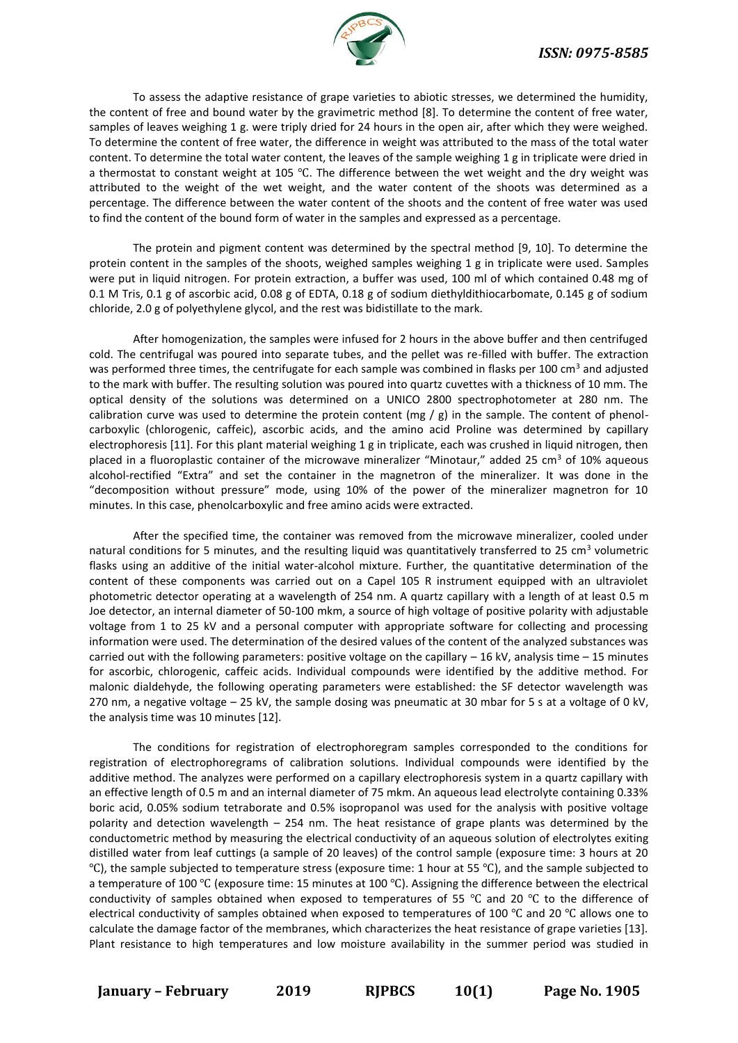

To assess the adaptive resistance of grape varieties to abiotic stresses, we determined the humidity, the content of free and bound water by the gravimetric method [8]. To determine the content of free water, samples of leaves weighing 1 g. were triply dried for 24 hours in the open air, after which they were weighed. To determine the content of free water, the difference in weight was attributed to the mass of the total water content. To determine the total water content, the leaves of the sample weighing 1 g in triplicate were dried in a thermostat to constant weight at 105 ℃. The difference between the wet weight and the dry weight was attributed to the weight of the wet weight, and the water content of the shoots was determined as a percentage. The difference between the water content of the shoots and the content of free water was used to find the content of the bound form of water in the samples and expressed as a percentage.

The protein and pigment content was determined by the spectral method [9, 10]. To determine the protein content in the samples of the shoots, weighed samples weighing 1 g in triplicate were used. Samples were put in liquid nitrogen. For protein extraction, a buffer was used, 100 ml of which contained 0.48 mg of 0.1 M Tris, 0.1 g of ascorbic acid, 0.08 g of EDTA, 0.18 g of sodium diethyldithiocarbomate, 0.145 g of sodium chloride, 2.0 g of polyethylene glycol, and the rest was bidistillate to the mark.

After homogenization, the samples were infused for 2 hours in the above buffer and then centrifuged cold. The centrifugal was poured into separate tubes, and the pellet was re-filled with buffer. The extraction was performed three times, the centrifugate for each sample was combined in flasks per 100 cm<sup>3</sup> and adjusted to the mark with buffer. The resulting solution was poured into quartz cuvettes with a thickness of 10 mm. The optical density of the solutions was determined on a UNICO 2800 spectrophotometer at 280 nm. The calibration curve was used to determine the protein content (mg / g) in the sample. The content of phenolcarboxylic (chlorogenic, caffeic), ascorbic acids, and the amino acid Proline was determined by capillary electrophoresis [11]. For this plant material weighing 1 g in triplicate, each was crushed in liquid nitrogen, then placed in a fluoroplastic container of the microwave mineralizer "Minotaur," added 25 cm<sup>3</sup> of 10% aqueous alcohol-rectified "Extra" and set the container in the magnetron of the mineralizer. It was done in the "decomposition without pressure" mode, using 10% of the power of the mineralizer magnetron for 10 minutes. In this case, phenolcarboxylic and free amino acids were extracted.

After the specified time, the container was removed from the microwave mineralizer, cooled under natural conditions for 5 minutes, and the resulting liquid was quantitatively transferred to 25 cm<sup>3</sup> volumetric flasks using an additive of the initial water-alcohol mixture. Further, the quantitative determination of the content of these components was carried out on a Capel 105 R instrument equipped with an ultraviolet photometric detector operating at a wavelength of 254 nm. A quartz capillary with a length of at least 0.5 m Joe detector, an internal diameter of 50-100 mkm, a source of high voltage of positive polarity with adjustable voltage from 1 to 25 kV and a personal computer with appropriate software for collecting and processing information were used. The determination of the desired values of the content of the analyzed substances was carried out with the following parameters: positive voltage on the capillary  $-16$  kV, analysis time  $-15$  minutes for ascorbic, chlorogenic, caffeic acids. Individual compounds were identified by the additive method. For malonic dialdehyde, the following operating parameters were established: the SF detector wavelength was 270 nm, a negative voltage – 25 kV, the sample dosing was pneumatic at 30 mbar for 5 s at a voltage of 0 kV, the analysis time was 10 minutes [12].

The conditions for registration of electrophoregram samples corresponded to the conditions for registration of electrophoregrams of calibration solutions. Individual compounds were identified by the additive method. The analyzes were performed on a capillary electrophoresis system in a quartz capillary with an effective length of 0.5 m and an internal diameter of 75 mkm. An aqueous lead electrolyte containing 0.33% boric acid, 0.05% sodium tetraborate and 0.5% isopropanol was used for the analysis with positive voltage polarity and detection wavelength – 254 nm. The heat resistance of grape plants was determined by the conductometric method by measuring the electrical conductivity of an aqueous solution of electrolytes exiting distilled water from leaf cuttings (a sample of 20 leaves) of the control sample (exposure time: 3 hours at 20 ℃), the sample subjected to temperature stress (exposure time: 1 hour at 55 ℃), and the sample subjected to a temperature of 100 ℃ (exposure time: 15 minutes at 100 ℃). Assigning the difference between the electrical conductivity of samples obtained when exposed to temperatures of 55 ℃ and 20 ℃ to the difference of electrical conductivity of samples obtained when exposed to temperatures of 100 ℃ and 20 ℃ allows one to calculate the damage factor of the membranes, which characterizes the heat resistance of grape varieties [13]. Plant resistance to high temperatures and low moisture availability in the summer period was studied in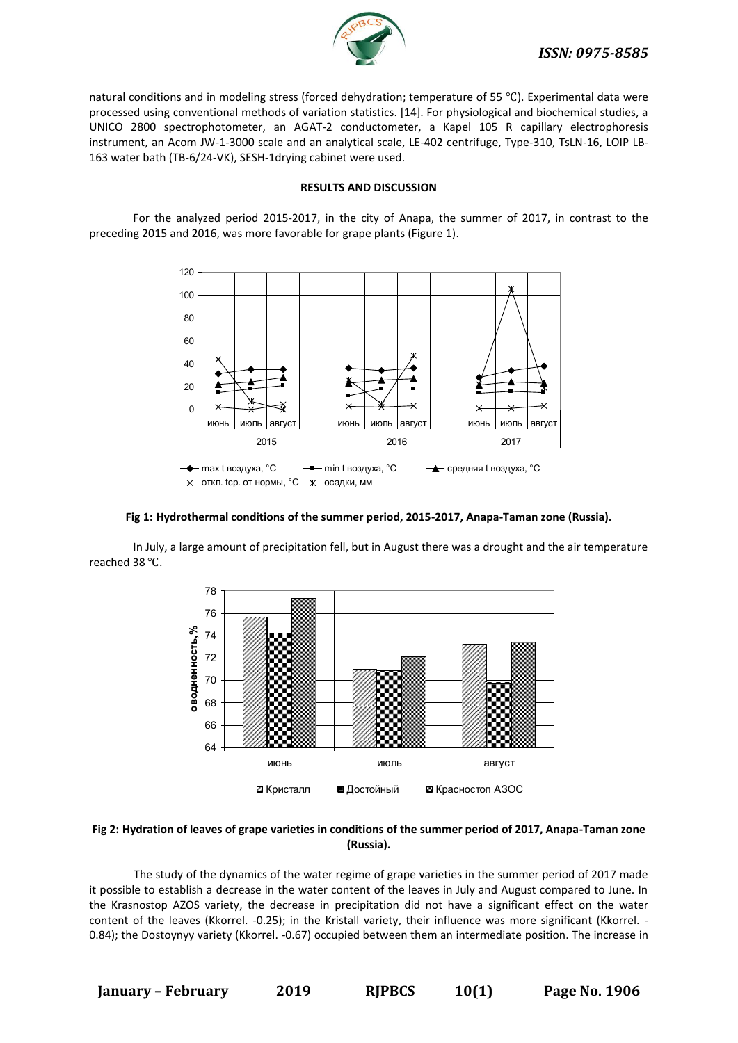

natural conditions and in modeling stress (forced dehydration; temperature of 55 ℃). Experimental data were processed using conventional methods of variation statistics. [14]. For physiological and biochemical studies, a UNICO 2800 spectrophotometer, an AGAT-2 conductometer, a Kapel 105 R capillary electrophoresis instrument, an Acom JW-1-3000 scale and an analytical scale, LE-402 centrifuge, Type-310, TsLN-16, LOIP LB-163 water bath (TB-6/24-VK), SESH-1drying cabinet were used.

#### **RESULTS AND DISCUSSION**

For the analyzed period 2015-2017, in the city of Anapa, the summer of 2017, in contrast to the preceding 2015 and 2016, was more favorable for grape plants (Figure 1).



#### **Fig 1: Hydrothermal conditions of the summer period, 2015-2017, Anapa-Taman zone (Russia).**

In July, a large amount of precipitation fell, but in August there was a drought and the air temperature reached 38 ℃.



## **Fig 2: Hydration of leaves of grape varieties in conditions of the summer period of 2017, Anapa-Taman zone (Russia).**

The study of the dynamics of the water regime of grape varieties in the summer period of 2017 made it possible to establish a decrease in the water content of the leaves in July and August compared to June. In the Krasnostop AZOS variety, the decrease in precipitation did not have a significant effect on the water content of the leaves (Kkorrel. -0.25); in the Kristall variety, their influence was more significant (Kkorrel. - 0.84); the Dostoynyy variety (Kkorrel. -0.67) occupied between them an intermediate position. The increase in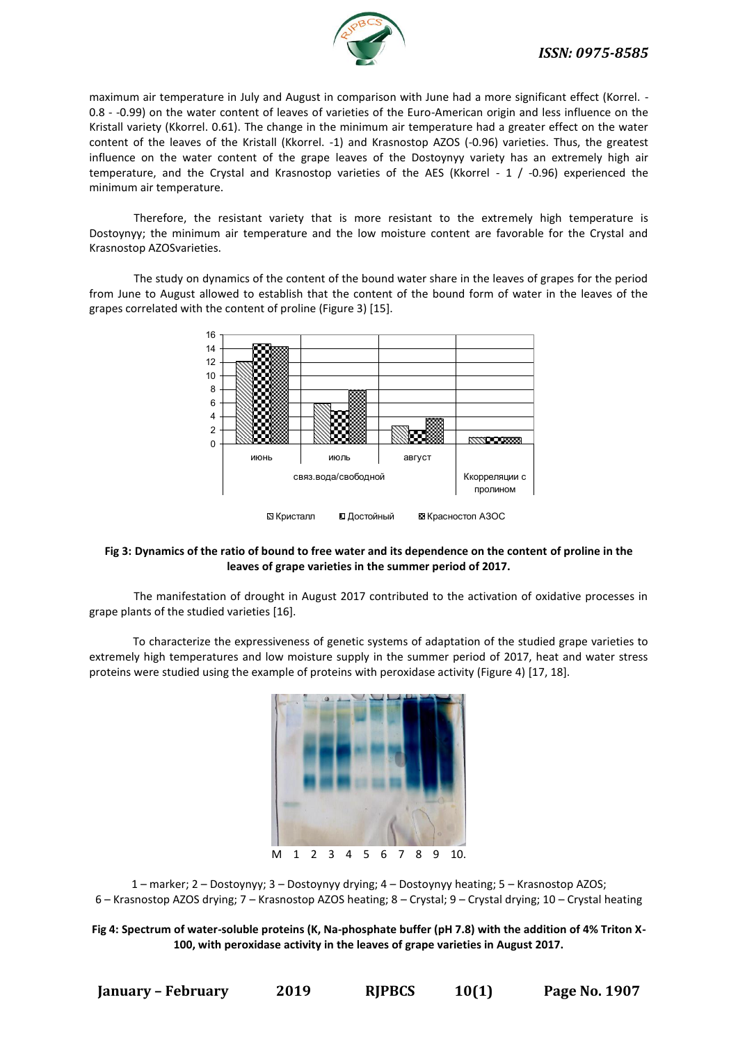

maximum air temperature in July and August in comparison with June had a more significant effect (Korrel. - 0.8 - -0.99) on the water content of leaves of varieties of the Euro-American origin and less influence on the Kristall variety (Kkorrel. 0.61). The change in the minimum air temperature had a greater effect on the water content of the leaves of the Kristall (Kkorrel. -1) and Krasnostop AZOS (-0.96) varieties. Thus, the greatest influence on the water content of the grape leaves of the Dostoynyy variety has an extremely high air temperature, and the Crystal and Krasnostop varieties of the AES (Kkorrel - 1 / -0.96) experienced the minimum air temperature.

Therefore, the resistant variety that is more resistant to the extremely high temperature is Dostoynyy; the minimum air temperature and the low moisture content are favorable for the Crystal and Krasnostop AZOSvarieties.

The study on dynamics of the content of the bound water share in the leaves of grapes for the period from June to August allowed to establish that the content of the bound form of water in the leaves of the grapes correlated with the content of proline (Figure 3) [15].



## **Fig 3: Dynamics of the ratio of bound to free water and its dependence on the content of proline in the leaves of grape varieties in the summer period of 2017.**

The manifestation of drought in August 2017 contributed to the activation of oxidative processes in grape plants of the studied varieties [16].

To characterize the expressiveness of genetic systems of adaptation of the studied grape varieties to extremely high temperatures and low moisture supply in the summer period of 2017, heat and water stress proteins were studied using the example of proteins with peroxidase activity (Figure 4) [17, 18].



1 – marker; 2 – Dostoynyy; 3 – Dostoynyy drying; 4 – Dostoynyy heating; 5 – Krasnostop AZOS; 6 – Krasnostop AZOS drying; 7 – Krasnostop AZOS heating; 8 – Crystal; 9 – Crystal drying; 10 – Crystal heating

**Fig 4: Spectrum of water-soluble proteins (K, Na-phosphate buffer (pH 7.8) with the addition of 4% Triton X-100, with peroxidase activity in the leaves of grape varieties in August 2017.**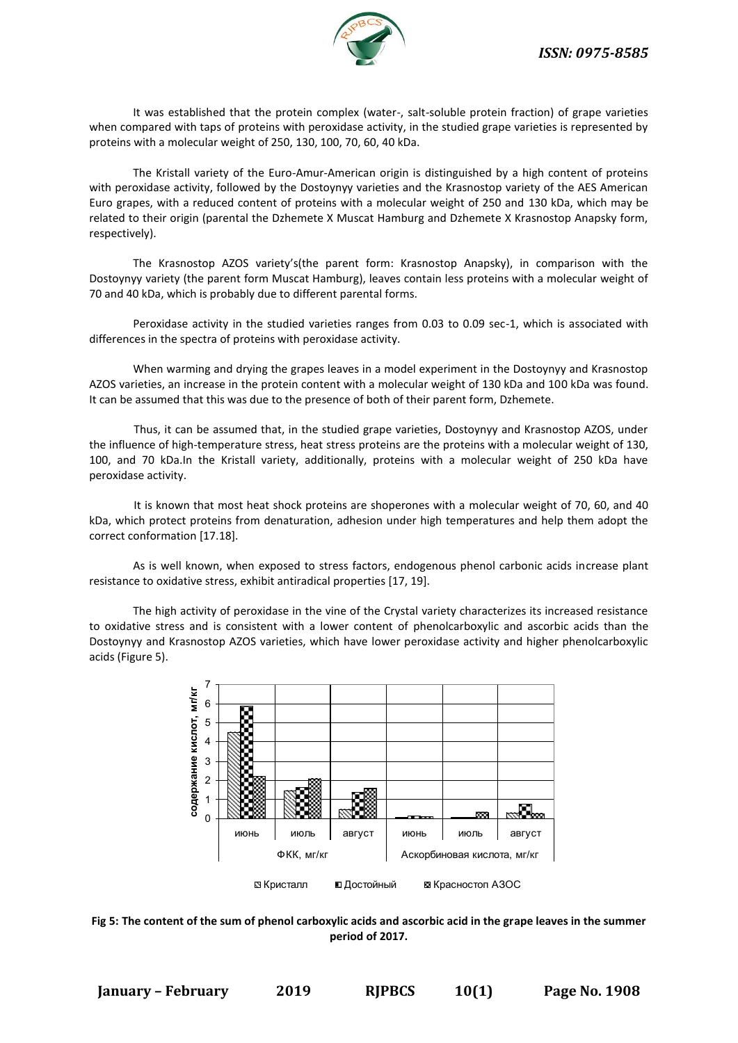

It was established that the protein complex (water-, salt-soluble protein fraction) of grape varieties when compared with taps of proteins with peroxidase activity, in the studied grape varieties is represented by proteins with a molecular weight of 250, 130, 100, 70, 60, 40 kDa.

The Kristall variety of the Euro-Amur-American origin is distinguished by a high content of proteins with peroxidase activity, followed by the Dostoynyy varieties and the Krasnostop variety of the AES American Euro grapes, with a reduced content of proteins with a molecular weight of 250 and 130 kDa, which may be related to their origin (parental the Dzhemete X Muscat Hamburg and Dzhemete X Krasnostop Anapsky form, respectively).

The Krasnostop AZOS variety's(the parent form: Krasnostop Anapsky), in comparison with the Dostoynyy variety (the parent form Muscat Hamburg), leaves contain less proteins with a molecular weight of 70 and 40 kDa, which is probably due to different parental forms.

Peroxidase activity in the studied varieties ranges from 0.03 to 0.09 sec-1, which is associated with differences in the spectra of proteins with peroxidase activity.

When warming and drying the grapes leaves in a model experiment in the Dostoynyy and Krasnostop AZOS varieties, an increase in the protein content with a molecular weight of 130 kDa and 100 kDa was found. It can be assumed that this was due to the presence of both of their parent form, Dzhemete.

Thus, it can be assumed that, in the studied grape varieties, Dostoynyy and Krasnostop AZOS, under the influence of high-temperature stress, heat stress proteins are the proteins with a molecular weight of 130, 100, and 70 kDa.In the Kristall variety, additionally, proteins with a molecular weight of 250 kDa have peroxidase activity.

It is known that most heat shock proteins are shoperones with a molecular weight of 70, 60, and 40 kDa, which protect proteins from denaturation, adhesion under high temperatures and help them adopt the correct conformation [17.18].

As is well known, when exposed to stress factors, endogenous phenol carbonic acids increase plant resistance to oxidative stress, exhibit antiradical properties [17, 19].

The high activity of peroxidase in the vine of the Crystal variety characterizes its increased resistance to oxidative stress and is consistent with a lower content of phenolcarboxylic and ascorbic acids than the Dostoynyy and Krasnostop AZOS varieties, which have lower peroxidase activity and higher phenolcarboxylic acids (Figure 5).



**Fig 5: The content of the sum of phenol carboxylic acids and ascorbic acid in the grape leaves in the summer period of 2017.**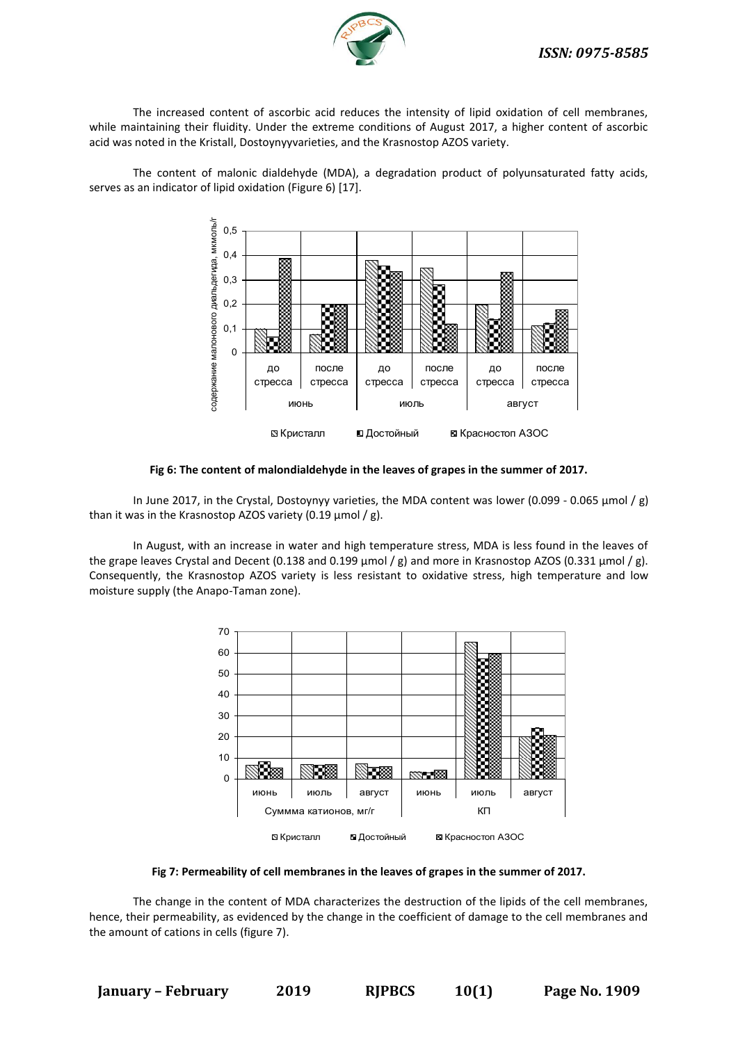

The increased content of ascorbic acid reduces the intensity of lipid oxidation of cell membranes, while maintaining their fluidity. Under the extreme conditions of August 2017, a higher content of ascorbic acid was noted in the Kristall, Dostoynyyvarieties, and the Krasnostop AZOS variety.

The content of malonic dialdehyde (MDA), a degradation product of polyunsaturated fatty acids, serves as an indicator of lipid oxidation (Figure 6) [17].



**Fig 6: The content of malondialdehyde in the leaves of grapes in the summer of 2017.**

In June 2017, in the Crystal, Dostoynyy varieties, the MDA content was lower (0.099 - 0.065 μmol / g) than it was in the Krasnostop AZOS variety (0.19  $\mu$ mol / g).

In August, with an increase in water and high temperature stress, MDA is less found in the leaves of the grape leaves Crystal and Decent (0.138 and 0.199 μmol / g) and more in Krasnostop AZOS (0.331 μmol / g). Consequently, the Krasnostop AZOS variety is less resistant to oxidative stress, high temperature and low moisture supply (the Anapo-Taman zone).



#### **Fig 7: Permeability of cell membranes in the leaves of grapes in the summer of 2017.**

The change in the content of MDA characterizes the destruction of the lipids of the cell membranes, hence, their permeability, as evidenced by the change in the coefficient of damage to the cell membranes and the amount of cations in cells (figure 7).